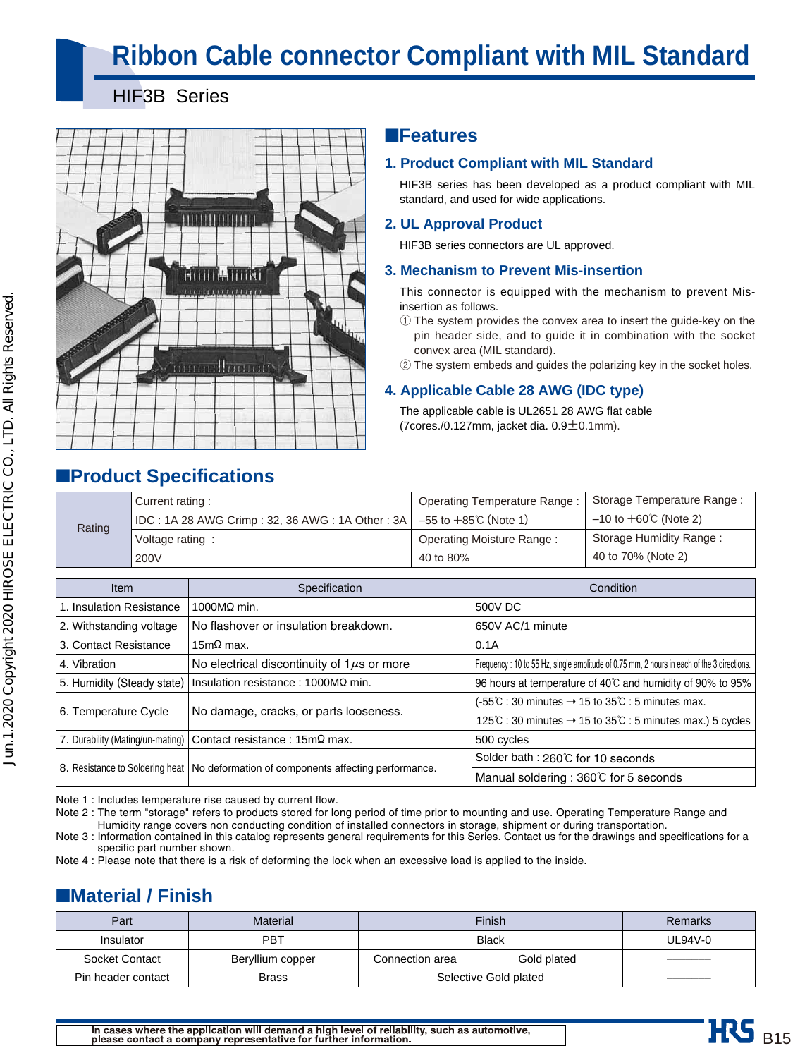# **Ribbon Cable connector Compliant with MIL Standard**

### HIF3B Series

■**Product Specifications**



### ■**Features**

### **1. Product Compliant with MIL Standard**

HIF3B series has been developed as a product compliant with MIL standard, and used for wide applications.

### **2. UL Approval Product**

HIF3B series connectors are UL approved.

### **3. Mechanism to Prevent Mis-insertion**

This connector is equipped with the mechanism to prevent Misinsertion as follows.

- 1 The system provides the convex area to insert the guide-key on the pin header side, and to guide it in combination with the socket convex area (MIL standard).
- 2 The system embeds and guides the polarizing key in the socket holes.

### **4. Applicable Cable 28 AWG (IDC type)**

The applicable cable is UL2651 28 AWG flat cable (7cores./0.127mm, jacket dia.  $0.9 \pm 0.1$ mm).

| Rating | Current rating:                                                           | Operating Temperature Range: | Storage Temperature Range:      |
|--------|---------------------------------------------------------------------------|------------------------------|---------------------------------|
|        | IDC : 1A 28 AWG Crimp : 32, 36 AWG : 1A Other : 3A   −55 to +85℃ (Note 1) |                              | $-10$ to $+60^{\circ}$ (Note 2) |
|        | Voltage rating:                                                           | Operating Moisture Range:    | Storage Humidity Range:         |
|        | 200V                                                                      | 40 to 80%                    | 40 to 70% (Note 2)              |

| <b>Item</b>                | Specification                                                                         | Condition                                                                                                          |
|----------------------------|---------------------------------------------------------------------------------------|--------------------------------------------------------------------------------------------------------------------|
| 1. Insulation Resistance   | $1000$ MΩ min.                                                                        | 500V DC                                                                                                            |
| 2. Withstanding voltage    | No flashover or insulation breakdown.                                                 | 650V AC/1 minute                                                                                                   |
| 3. Contact Resistance      | 15m $\Omega$ max.                                                                     | 0.1A                                                                                                               |
| 4. Vibration               | No electrical discontinuity of $1\mu s$ or more                                       | Frequency : 10 to 55 Hz, single amplitude of 0.75 mm, 2 hours in each of the 3 directions.                         |
| 5. Humidity (Steady state) | Insulation resistance : $1000M\Omega$ min.                                            | 96 hours at temperature of 40°C and humidity of 90% to 95%                                                         |
|                            |                                                                                       | $(-55^{\circ}\text{C} : 30 \text{ minutes} \rightarrow 15 \text{ to } 35^{\circ}\text{C} : 5 \text{ minutes max.}$ |
| 6. Temperature Cycle       | No damage, cracks, or parts looseness.                                                | 125 $\degree$ C : 30 minutes $\rightarrow$ 15 to 35 $\degree$ C : 5 minutes max.) 5 cycles                         |
|                            | 7. Durability (Mating/un-mating)   Contact resistance : 15mΩ max.                     | 500 cycles                                                                                                         |
|                            |                                                                                       | Solder bath : 260℃ for 10 seconds                                                                                  |
|                            | 8. Resistance to Soldering heat   No deformation of components affecting performance. | Manual soldering : 360℃ for 5 seconds                                                                              |

Note 1 : Includes temperature rise caused by current flow.

Note 2 : The term "storage" refers to products stored for long period of time prior to mounting and use. Operating Temperature Range and Humidity range covers non conducting condition of installed connectors in storage, shipment or during transportation.

Note 3 : Information contained in this catalog represents general requirements for this Series. Contact us for the drawings and specifications for a specific part number shown.

Note 4 : Please note that there is a risk of deforming the lock when an excessive load is applied to the inside.

# ■**Material / Finish**

| Part               | Material         |                       | Remarks     |  |
|--------------------|------------------|-----------------------|-------------|--|
| Insulator          | PBT              |                       | $UL94V-0$   |  |
| Socket Contact     | Beryllium copper | Connection area       | Gold plated |  |
| Pin header contact | Brass            | Selective Gold plated |             |  |

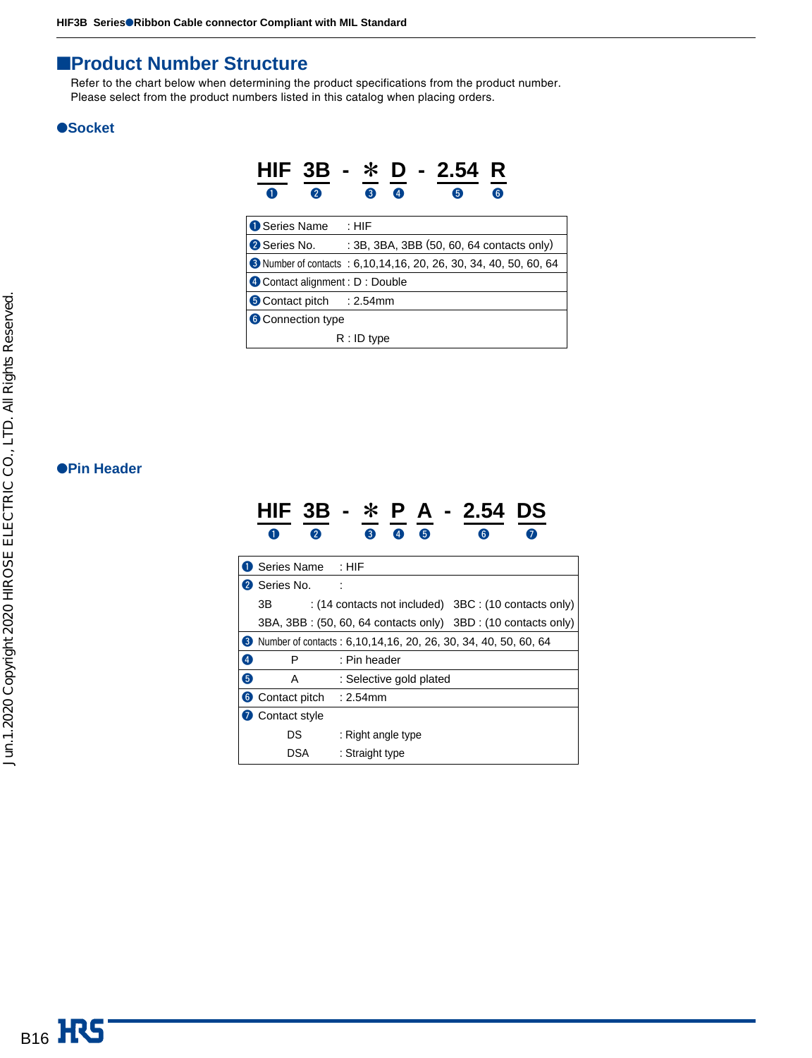### ■**Product Number Structure**

Refer to the chart below when determining the product specifications from the product number. Please select from the product numbers listed in this catalog when placing orders.

### ●**Socket**

| $HIF$ 3B                       | D - 2.54<br>- *<br>R                                              |
|--------------------------------|-------------------------------------------------------------------|
| 2<br>A                         | $\bullet$<br>B<br>6<br>6                                          |
| <b>O</b> Series Name           | : HIF                                                             |
| 2 Series No.                   | : 3B, 3BA, 3BB (50, 60, 64 contacts only)                         |
|                                | 3 Number of contacts : 6,10,14,16, 20, 26, 30, 34, 40, 50, 60, 64 |
| Contact alignment : D : Double |                                                                   |
| Contact pitch : 2.54mm         |                                                                   |
| <b>6</b> Connection type       |                                                                   |
|                                | R : ID type                                                       |

### ●**Pin Header**

|                            | P A - 2.54<br>DS                                                        |
|----------------------------|-------------------------------------------------------------------------|
| 2                          | 3<br>$\overline{A}$<br>6<br>$\epsilon$                                  |
| <b>D</b> Series Name : HIF |                                                                         |
| 2 Series No.               |                                                                         |
| ЗB                         | : $(14$ contacts not included) $3BC$ : $(10$ contacts only)             |
|                            | 3BA, 3BB : (50, 60, 64 contacts only) 3BD : (10 contacts only)          |
|                            | <b>8</b> Number of contacts: 6,10,14,16, 20, 26, 30, 34, 40, 50, 60, 64 |
| $\bm{A}$<br>P              | : Pin header                                                            |
| 6<br>A                     | : Selective gold plated                                                 |
| 6 Contact pitch : 2.54mm   |                                                                         |
| <b>7</b> Contact style     |                                                                         |
| DS                         | : Right angle type                                                      |
| DSA                        | : Straight type                                                         |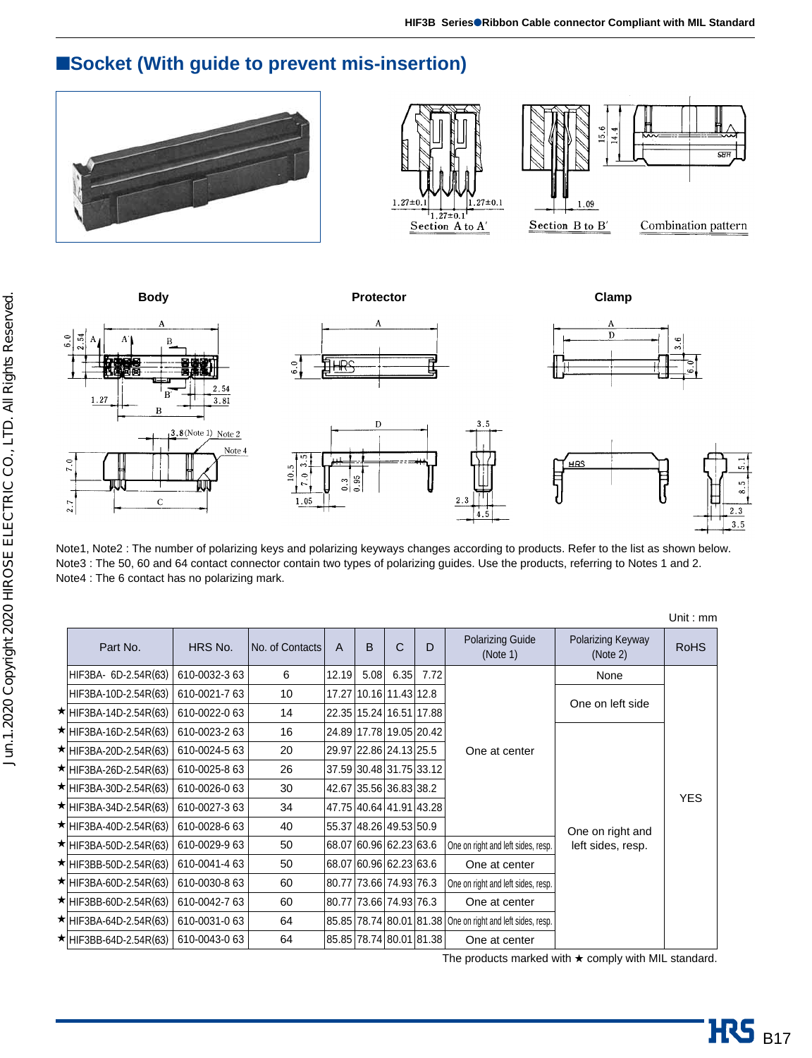## ■**Socket (With guide to prevent mis-insertion)**













Note1, Note2 : The number of polarizing keys and polarizing keyways changes according to products. Refer to the list as shown below. Note3 : The 50, 60 and 64 contact connector contain two types of polarizing guides. Use the products, referring to Notes 1 and 2. Note4 : The 6 contact has no polarizing mark.

 $2.3$  $\frac{1}{4.5}$ 

|                              |               |                 |       |      |                         |      |                                                            |                               | Unit: $mm$  |
|------------------------------|---------------|-----------------|-------|------|-------------------------|------|------------------------------------------------------------|-------------------------------|-------------|
| Part No.                     | HRS No.       | No. of Contacts | A     | B    | C                       | D    | <b>Polarizing Guide</b><br>(Note 1)                        | Polarizing Keyway<br>(Note 2) | <b>RoHS</b> |
| HIF3BA- 6D-2.54R(63)         | 610-0032-363  | 6               | 12.19 | 5.08 | 6.35                    | 7.72 |                                                            | None                          |             |
| HIF3BA-10D-2.54R(63)         | 610-0021-763  | 10              |       |      | 17.27 10.16 11.43 12.8  |      |                                                            | One on left side              |             |
| $\star$ HIF3BA-14D-2.54R(63) | 610-0022-063  | 14              |       |      | 22.35 15.24 16.51 17.88 |      |                                                            |                               |             |
| $\star$ HIF3BA-16D-2.54R(63) | 610-0023-2 63 | 16              |       |      | 24.89 17.78 19.05 20.42 |      |                                                            |                               |             |
| $\star$ HIF3BA-20D-2.54R(63) | 610-0024-5 63 | 20              |       |      | 29.97 22.86 24.13 25.5  |      | One at center                                              |                               | <b>YES</b>  |
| $\star$ HIF3BA-26D-2.54R(63) | 610-0025-8 63 | 26              |       |      | 37.59 30.48 31.75 33.12 |      |                                                            |                               |             |
| $\star$ HIF3BA-30D-2.54R(63) | 610-0026-063  | 30              |       |      | 42.67 35.56 36.83 38.2  |      |                                                            |                               |             |
| $\star$ HIF3BA-34D-2.54R(63) | 610-0027-363  | 34              |       |      | 47.75 40.64 41.91 43.28 |      |                                                            |                               |             |
| $\star$ HIF3BA-40D-2.54R(63) | 610-0028-663  | 40              |       |      | 55.37 48.26 49.53 50.9  |      |                                                            | One on right and              |             |
| $\star$ HIF3BA-50D-2.54R(63) | 610-0029-963  | 50              |       |      | 68.07 60.96 62.23 63.6  |      | One on right and left sides, resp.                         | left sides, resp.             |             |
| $\star$ HIF3BB-50D-2.54R(63) | 610-0041-463  | 50              |       |      | 68.07 60.96 62.23 63.6  |      | One at center                                              |                               |             |
| $\star$ HIF3BA-60D-2.54R(63) | 610-0030-863  | 60              |       |      | 80.77 73.66 74.93 76.3  |      | One on right and left sides, resp.                         |                               |             |
| $\star$ HIF3BB-60D-2.54R(63) | 610-0042-763  | 60              |       |      | 80.77 73.66 74.93 76.3  |      | One at center                                              |                               |             |
| $\star$ HIF3BA-64D-2.54R(63) | 610-0031-063  | 64              |       |      |                         |      | 85.85 78.74 80.01 81.38 One on right and left sides, resp. |                               |             |
| $\star$ HIF3BB-64D-2.54R(63) | 610-0043-0 63 | 64              |       |      | 85.85 78.74 80.01 81.38 |      | One at center                                              |                               |             |

The products marked with ★ comply with MIL standard.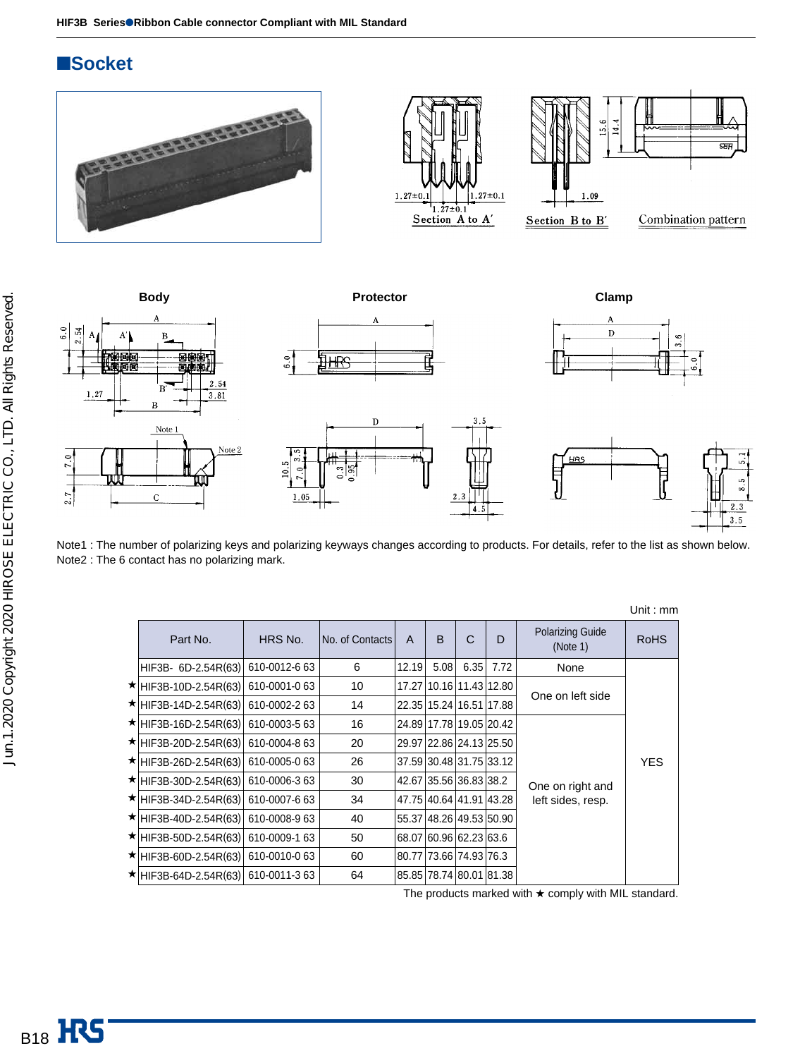### ■**Socket**









Note1 : The number of polarizing keys and polarizing keyways changes according to products. For details, refer to the list as shown below. Note2 : The 6 contact has no polarizing mark.

|                        |               |                 |              |              |                         |      |                                     | Unit : mm   |
|------------------------|---------------|-----------------|--------------|--------------|-------------------------|------|-------------------------------------|-------------|
| Part No.               | HRS No.       | No. of Contacts | $\mathsf{A}$ | <sub>B</sub> | C                       | D    | <b>Polarizing Guide</b><br>(Note 1) | <b>RoHS</b> |
| $HIF3B - 6D-2.54R(63)$ | 610-0012-6 63 | 6               | 12.19        | 5.08         | 6.35                    | 7.72 | None                                |             |
| ★ HIF3B-10D-2.54R(63)  | 610-0001-063  | 10              |              |              | 17.27 10.16 11.43 12.80 |      | One on left side                    |             |
| ★ HIF3B-14D-2.54R(63)  | 610-0002-263  | 14              |              |              | 22.35 15.24 16.51 17.88 |      |                                     |             |
| ★ HIF3B-16D-2.54R(63)  | 610-0003-5 63 | 16              |              |              | 24.89 17.78 19.05 20.42 |      |                                     |             |
| ★ HIF3B-20D-2.54R(63)  | 610-0004-8 63 | 20              |              |              | 29.97 22.86 24.13 25.50 |      |                                     | <b>YES</b>  |
| ★ HIF3B-26D-2.54R(63)  | 610-0005-063  | 26              |              |              | 37.59 30.48 31.75 33.12 |      |                                     |             |
| ★ HIF3B-30D-2.54R(63)  | 610-0006-363  | 30              |              |              | 42.67 35.56 36.83 38.2  |      | One on right and                    |             |
| ★ HIF3B-34D-2.54R(63)  | 610-0007-663  | 34              |              |              | 47.75 40.64 41.91 43.28 |      | left sides, resp.                   |             |
| ★ HIF3B-40D-2.54R(63)  | 610-0008-963  | 40              |              |              | 55.37 48.26 49.53 50.90 |      |                                     |             |
| ★ HIF3B-50D-2.54R(63)  | 610-0009-1 63 | 50              |              |              | 68.07 60.96 62.23 63.6  |      |                                     |             |
| ★ HIF3B-60D-2.54R(63)  | 610-0010-063  | 60              |              |              | 80.77 73.66 74.93 76.3  |      |                                     |             |
| ★ HIF3B-64D-2.54R(63)  | 610-0011-363  | 64              |              |              | 85.85 78.74 80.01 81.38 |      |                                     |             |

 $U_{\rm min}$ 

The products marked with ★ comply with MIL standard.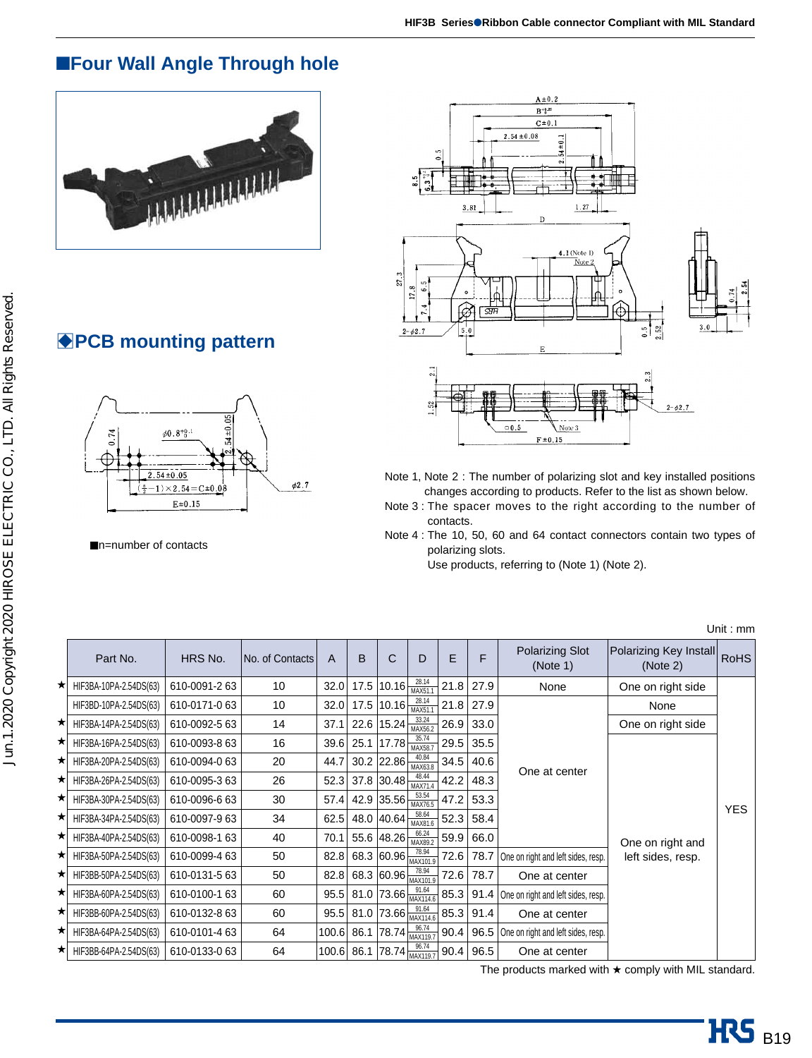# ■**Four Wall Angle Through hole**



# **BPCB mounting pattern**



■n=number of contacts



- Note 1, Note 2 : The number of polarizing slot and key installed positions changes according to products. Refer to the list as shown below.
- Note 3 : The spacer moves to the right according to the number of contacts.
- Note 4 : The 10, 50, 60 and 64 contact connectors contain two types of polarizing slots.
	- Use products, referring to (Note 1) (Note 2).

|   | Part No.               | HRS No.       | No. of Contacts | A     | B    | C                                                                                         | D                | E    | F    | Polarizing Slot<br>(Note 1)             | Polarizing Key Install<br>(Note 2) | <b>RoHS</b> |
|---|------------------------|---------------|-----------------|-------|------|-------------------------------------------------------------------------------------------|------------------|------|------|-----------------------------------------|------------------------------------|-------------|
| ★ | HIF3BA-10PA-2.54DS(63) | 610-0091-263  | 10              | 32.0  |      | 17.5 10.16                                                                                | 28.14<br>MAX51.1 | 21.8 | 27.9 | None                                    | One on right side                  |             |
|   | HIF3BD-10PA-2.54DS(63) | 610-0171-063  | 10              | 32.0  |      | 17.5 $10.16 \frac{20.14}{MAX51.1}$                                                        | 28.14            | 21.8 | 27.9 |                                         | None                               |             |
| ★ | HIF3BA-14PA-2.54DS(63) | 610-0092-563  | 14              | 37.1  |      | 22.6 $15.24 \frac{\text{J} \cdot \text{J} \cdot \text{J} \cdot \text{J}}{\text{MAX}56.2}$ | 33.24            | 26.9 | 33.0 |                                         | One on right side                  |             |
| ★ | HIF3BA-16PA-2.54DS(63) | 610-0093-8 63 | 16              | 39.6  | 25.1 | 17.78                                                                                     | 35.74<br>MAX58.7 | 29.5 | 35.5 |                                         |                                    |             |
| ★ | HIF3BA-20PA-2.54DS(63) | 610-0094-063  | 20              | 44.7  |      | $30.2$ 22.86                                                                              | 40.84<br>MAX63.8 | 34.5 | 40.6 |                                         |                                    |             |
| ★ | HIF3BA-26PA-2.54DS(63) | 610-0095-363  | 26              | 52.3  |      | 37.8 30.48 $\frac{40.44}{MAX71.4}$                                                        | 48.44            | 42.2 | 48.3 | One at center                           |                                    |             |
| ★ | HIF3BA-30PA-2.54DS(63) | 610-0096-663  | 30              | 57.4  |      | 42.9 35.56 $\frac{33.34}{MAX76.5}$                                                        | 53.54            | 47.2 | 53.3 |                                         |                                    | <b>YES</b>  |
| ★ | HIF3BA-34PA-2.54DS(63) | 610-0097-963  | 34              | 62.5  |      | 48.0 $40.64 \frac{\text{J}^{30.04}}{\text{MAX81.6}}$                                      | 58.64            | 52.3 | 58.4 |                                         |                                    |             |
| ★ | HIF3BA-40PA-2.54DS(63) | 610-0098-1 63 | 40              | 70.1  |      | 55.6 $48.26 \frac{\text{d}^{0.24}}{\text{MAX89.2}}$                                       |                  | 59.9 | 66.0 |                                         | One on right and                   |             |
| ★ | HIF3BA-50PA-2.54DS(63) | 610-0099-463  | 50              | 82.8  |      | 68.3 60.96 $\frac{18.34}{MAX101.9}$                                                       |                  | 72.6 | 78.7 | One on right and left sides, resp.      | left sides, resp.                  |             |
| ★ | HIF3BB-50PA-2.54DS(63) | 610-0131-5 63 | 50              | 82.8  |      | 68.3 60.96 $\frac{10.37}{MAX101.9}$                                                       |                  | 72.6 | 78.7 | One at center                           |                                    |             |
| ★ | HIF3BA-60PA-2.54DS(63) | 610-0100-1 63 | 60              | 95.5  |      | 81.0 73.66 $\frac{31.04}{MAX114.6}$                                                       | 91.64            | 85.3 |      | 91.4 One on right and left sides, resp. |                                    |             |
| ★ | HIF3BB-60PA-2.54DS(63) | 610-0132-8 63 | 60              | 95.5  |      | 81.0 73.66 $\frac{91.04}{MAX114.6}$                                                       | 91.64            | 85.3 | 91.4 | One at center                           |                                    |             |
| ★ | HIF3BA-64PA-2.54DS(63) | 610-0101-463  | 64              | 100.6 | 86.1 | $78.74 \frac{50.74}{MAX119.7}$                                                            |                  | 90.4 | 96.5 | One on right and left sides, resp.      |                                    |             |
| ★ | HIF3BB-64PA-2.54DS(63) | 610-0133-0 63 | 64              | 100.6 | 86.1 | $ 78.74 _{MAX119.7}$                                                                      |                  | 90.4 | 96.5 | One at center                           |                                    |             |

Unit : mm

The products marked with ★ comply with MIL standard.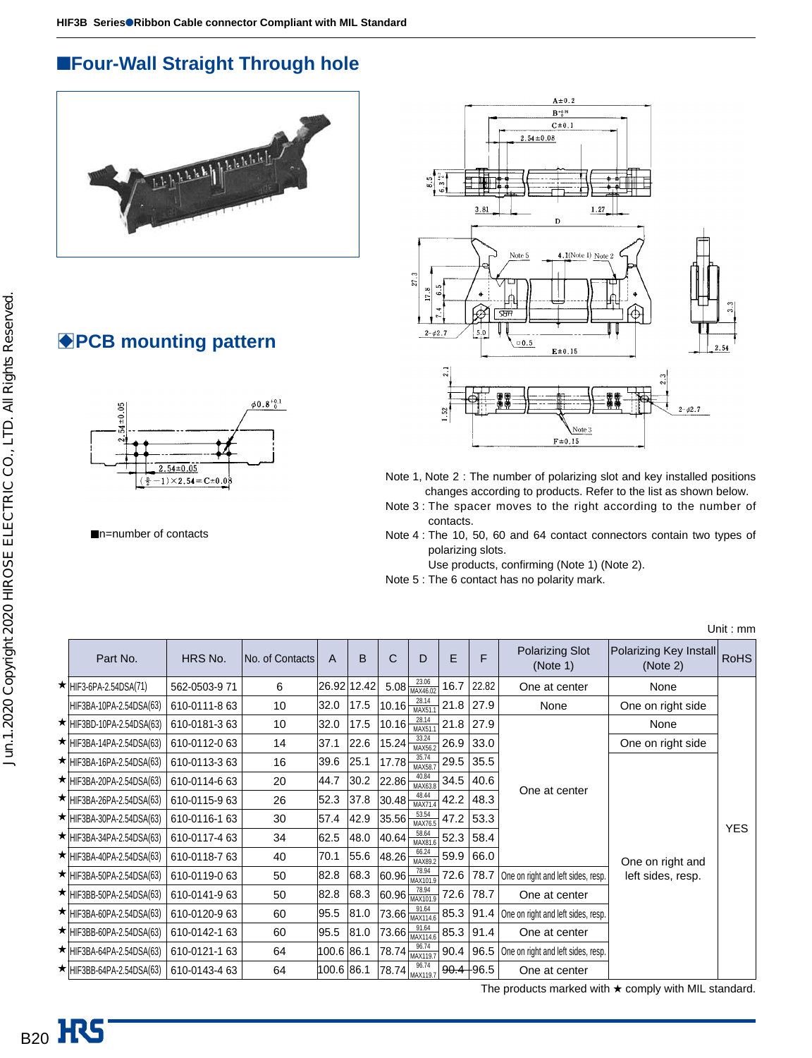# ■**Four-Wall Straight Through hole**



# **BPCB mounting pattern**



■n=number of contacts



- Note 1, Note 2 : The number of polarizing slot and key installed positions changes according to products. Refer to the list as shown below.
- Note 3 : The spacer moves to the right according to the number of contacts.
- Note 4 : The 10, 50, 60 and 64 contact connectors contain two types of polarizing slots.

Use products, confirming (Note 1) (Note 2).

Note 5 : The 6 contact has no polarity mark.

| Part No.                        | HRS No.       | No. of Contacts | A          | B           | С           | D                                                        | E    | F             | <b>Polarizing Slot</b><br>(Note 1) | Polarizing Key Install<br>(Note 2) | <b>RoHS</b> |
|---------------------------------|---------------|-----------------|------------|-------------|-------------|----------------------------------------------------------|------|---------------|------------------------------------|------------------------------------|-------------|
| $\star$ HIF3-6PA-2.54DSA(71)    | 562-0503-971  | 6               |            | 26.92 12.42 |             | 23.06<br>$5.08 \frac{\Delta v \cdot \Delta v}{MAX46.02}$ | 16.7 | 22.82         | One at center                      | None                               |             |
| HIF3BA-10PA-2.54DSA(63)         | 610-0111-8 63 | 10              | 32.0       | 17.5        | 10.16       | 28.14<br>MAX51.                                          | 21.8 | 27.9          | None                               | One on right side                  |             |
| ★ HIF3BD-10PA-2.54DSA(63)       | 610-0181-363  | 10              | 32.0       | 17.5        | 10.16       | 28.14<br><b>MAX51</b>                                    | 21.8 | 27.9          |                                    | None                               |             |
| $\star$ HIF3BA-14PA-2.54DSA(63) | 610-0112-0 63 | 14              | 37.1       | 22.6        | 15.24       | 33.24<br>MAX56.2                                         | 26.9 | 33.0          |                                    | One on right side                  |             |
| $\star$ HIF3BA-16PA-2.54DSA(63) | 610-0113-3 63 | 16              | 39.6       | 25.1        | 17.78       | 35.74<br>MAX58.7                                         | 29.5 | 35.5          |                                    |                                    |             |
| $\star$ HIF3BA-20PA-2.54DSA(63) | 610-0114-6 63 | 20              | 44.7       | 30.2        | 22.86       | 40.84<br>MAX63.8                                         | 34.5 | 40.6          |                                    |                                    |             |
| $\star$ HIF3BA-26PA-2.54DSA(63) | 610-0115-963  | 26              | 52.3       | 37.8        | 30.48       | 48.44<br>MAX71.                                          | 42.2 | 48.3          | One at center                      |                                    |             |
| $\star$ HIF3BA-30PA-2.54DSA(63) | 610-0116-1 63 | 30              | 57.4       | 42.9        | 35.56       | 53.54<br>MAX76.5                                         | 47.2 | 53.3          |                                    |                                    | <b>YES</b>  |
| $\star$ HIF3BA-34PA-2.54DSA(63) | 610-0117-4 63 | 34              | 62.5       | 48.0        | 40.64       | 58.64<br>MAX81.6                                         | 52.3 | 58.4          |                                    |                                    |             |
| $\star$ HIF3BA-40PA-2.54DSA(63) | 610-0118-763  | 40              | 70.1       | 55.6        | 48.26       | 66.24<br>MAX89.2                                         | 59.9 | 66.0          |                                    | One on right and                   |             |
| $\star$ HIF3BA-50PA-2.54DSA(63) | 610-0119-063  | 50              | 82.8       | 68.3        |             | 78.94<br>$ 60.96 $ $\frac{10.37}{MAX101.9}$              | 72.6 | 78.7          | One on right and left sides, resp. | left sides, resp.                  |             |
| ★ HIF3BB-50PA-2.54DSA(63)       | 610-0141-963  | 50              | 82.8       | 68.3        |             | 78.94<br>$ 60.96 \frac{10.07}{MAX101.9} $                | 72.6 | 78.7          | One at center                      |                                    |             |
| $\star$ HIF3BA-60PA-2.54DSA(63) | 610-0120-963  | 60              | 95.5       | 81.0        |             | $73.66\frac{91.64}{MAX114.6}$                            | 85.3 | 91.4          | One on right and left sides, resp. |                                    |             |
| ★ HIF3BB-60PA-2.54DSA(63)       | 610-0142-1 63 | 60              | 95.5       | 81.0        |             | 91.64<br>$173.66 \frac{31.04}{MAX114.6}$                 | 85.3 | 91.4          | One at center                      |                                    |             |
| $\star$ HIF3BA-64PA-2.54DSA(63) | 610-0121-1 63 | 64              | 100.6 86.1 |             | 78.74 86.74 |                                                          | 90.4 | 96.5          | One on right and left sides, resp. |                                    |             |
| $\star$ HIF3BB-64PA-2.54DSA(63) | 610-0143-4 63 | 64              | 100.6 86.1 |             |             | 96.74<br>$(78.74)$ <sub>MAX119.7</sub>                   |      | $90.4 + 96.5$ | One at center                      |                                    |             |

Unit : mm

The products marked with  $\star$  comply with MIL standard.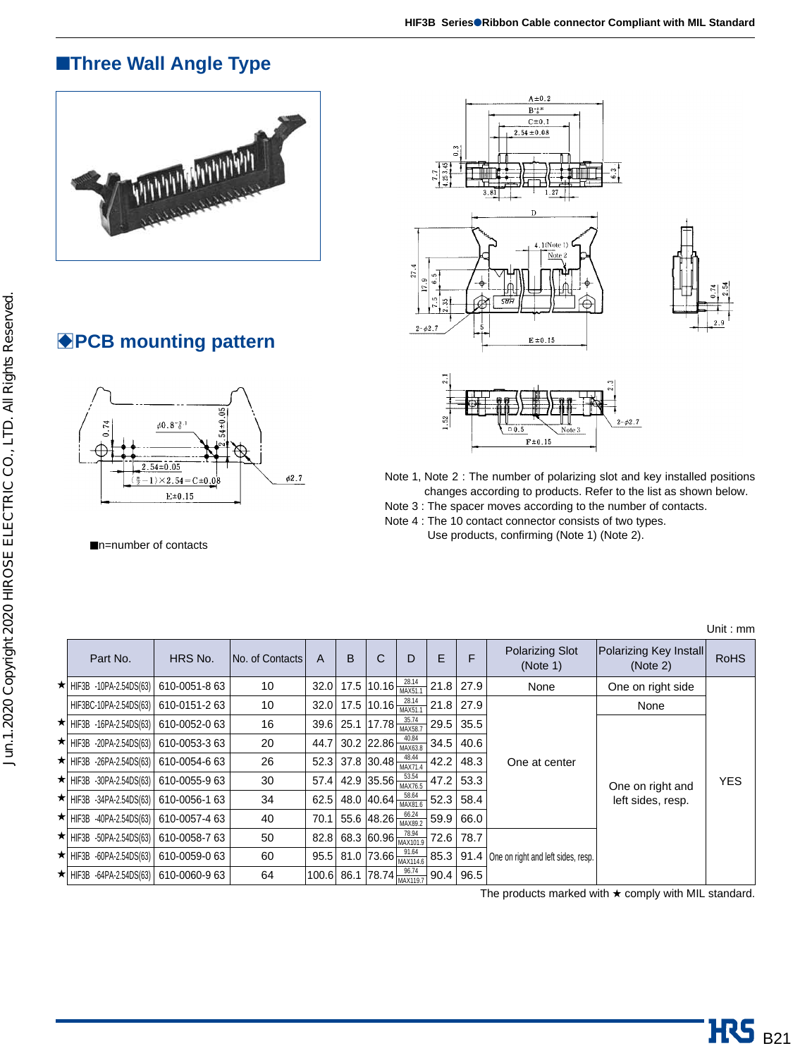# ■**Three Wall Angle Type**







### $1.52$  $2 - \phi 2.7$  $\overline{00}$  $F \pm 0.15$

- Note 1, Note 2 : The number of polarizing slot and key installed positions changes according to products. Refer to the list as shown below.
- Note 3 : The spacer moves according to the number of contacts.
- Note 4 : The 10 contact connector consists of two types.
	- Use products, confirming (Note 1) (Note 2).

|                                  |               |                 |       |   |                                    |                                             |      |      |                                              |                                    | Unit: mm    |
|----------------------------------|---------------|-----------------|-------|---|------------------------------------|---------------------------------------------|------|------|----------------------------------------------|------------------------------------|-------------|
| Part No.                         | HRS No.       | No. of Contacts | A     | B | С                                  | D                                           | E    | F    | <b>Polarizing Slot</b><br>(Note 1)           | Polarizing Key Install<br>(Note 2) | <b>RoHS</b> |
| $\star$   HIF3B -10PA-2.54DS(63) | 610-0051-8 63 | 10              | 32.0  |   | 17.5 10.16 $\frac{28.14}{MAX51.1}$ |                                             | 21.8 | 27.9 | None                                         | One on right side                  |             |
| HIF3BC-10PA-2.54DS(63)           | 610-0151-263  | 10              | 32.0  |   | 17.5 $10.16 \frac{20.14}{MAX51.1}$ |                                             | 21.8 | 27.9 |                                              | None                               |             |
| $\star$   HIF3B -16PA-2.54DS(63) | 610-0052-063  | 16              | 39.6  |   | 25.1 $17.78 \frac{30.74}{MAX58.7}$ | 35.74                                       | 29.5 | 35.5 |                                              | One on right and                   | <b>YES</b>  |
| $\star$ HIF3B -20PA-2.54DS(63)   | 610-0053-363  | 20              | 44.7  |   | 30.2 22.86                         | 40.84<br>MAX63.8                            | 34.5 | 40.6 |                                              |                                    |             |
| $\star$ HIF3B -26PA-2.54DS(63)   | 610-0054-663  | 26              | 52.3  |   | 37.8 30.48                         | 48.44<br>MAX71.4                            | 42.2 | 48.3 | One at center                                |                                    |             |
| $\star$ HIF3B -30PA-2.54DS(63)   | 610-0055-963  | 30              | 57.4  |   |                                    | 53.54<br>42.9 35.56 $\frac{33.34}{MAX76.5}$ | 47.2 | 53.3 |                                              |                                    |             |
| $\star$ HIF3B -34PA-2.54DS(63)   | 610-0056-1 63 | 34              | 62.5  |   | 48.0 40.64                         | 58.64<br>MAX81.6                            | 52.3 | 58.4 |                                              | left sides, resp.                  |             |
| $\star$ HIF3B -40PA-2.54DS(63)   | 610-0057-4 63 | 40              | 70.1  |   |                                    | 66.24<br>55.6 48.26 $\frac{60.24}{MAX89.2}$ | 59.9 | 66.0 |                                              |                                    |             |
| $\star$ HIF3B -50PA-2.54DS(63)   | 610-0058-763  | 50              | 82.8  |   |                                    | 68.3 60.96 $\frac{78.94}{MAX101.9}$         | 72.6 | 78.7 |                                              |                                    |             |
| $\star$ HIF3B -60PA-2.54DS(63)   | 610-0059-063  | 60              | 95.5  |   |                                    | 81.0 73.66 $\frac{91.64}{MAX114.6}$         |      |      | 85.3 91.4 One on right and left sides, resp. |                                    |             |
| $\star$ HIF3B -64PA-2.54DS(63)   | 610-0060-963  | 64              | 100.6 |   |                                    | 86.1 78.74 $\frac{96.74}{MAX119.7}$         | 90.4 | 96.5 |                                              |                                    |             |

The products marked with ★ comply with MIL standard.

# **BPCB mounting pattern**



■n=number of contacts

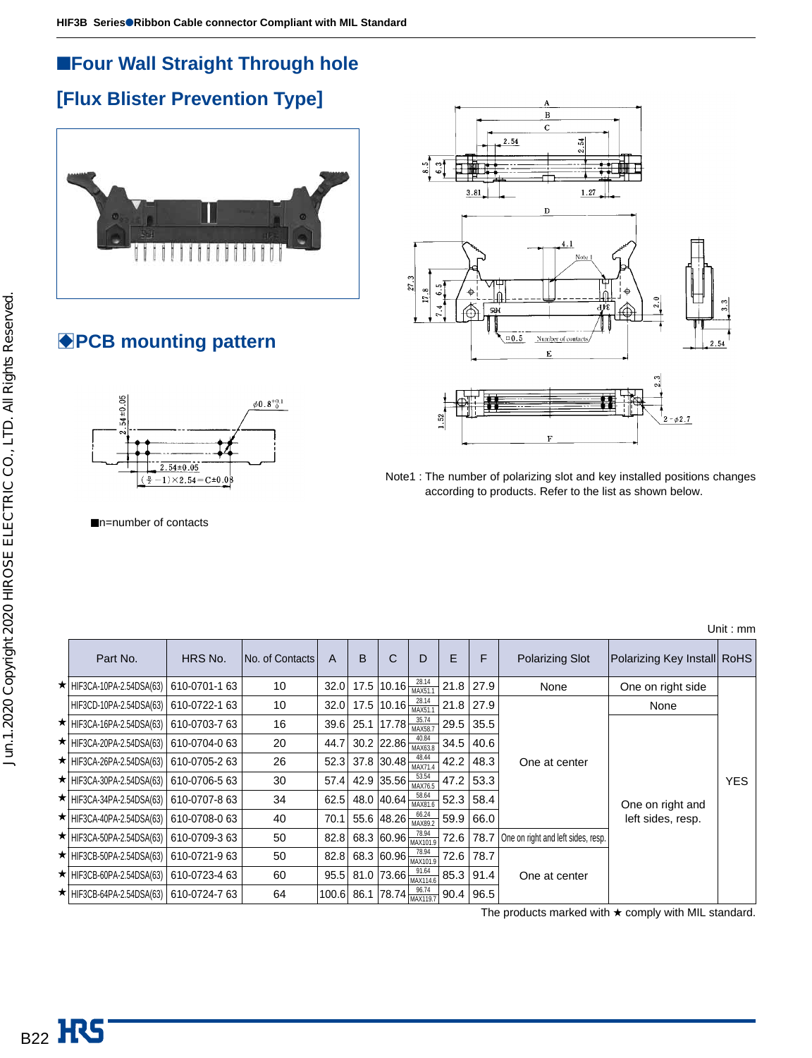# ■**Four Wall Straight Through hole**

# **[Flux Blister Prevention Type]**



# **BPCB mounting pattern**



Note1 : The number of polarizing slot and key installed positions changes according to products. Refer to the list as shown below.



■n=number of contacts

|                                   |               |                 |      |      |                                           |                  |      |      |                                    |                             | Unit : $mm$ |
|-----------------------------------|---------------|-----------------|------|------|-------------------------------------------|------------------|------|------|------------------------------------|-----------------------------|-------------|
| Part No.                          | HRS No.       | No. of Contacts | A    | B    | С                                         | D                | E    | F    | <b>Polarizing Slot</b>             | Polarizing Key Install RoHS |             |
| $\star$ HIF3CA-10PA-2.54DSA(63)   | 610-0701-1 63 | 10              | 32.0 |      | 17.5 $10.16 \frac{20.14}{MAX51.4}$        | 28.14            | 21.8 | 27.9 | None                               | One on right side           |             |
| HIF3CD-10PA-2.54DSA(63)           | 610-0722-1 63 | 10              | 32.0 |      | 17.5 $10.16 \frac{20.14}{MAX51.1}$        |                  | 21.8 | 27.9 |                                    | None                        |             |
| $\star$ HIF3CA-16PA-2.54DSA(63)   | 610-0703-763  | 16              | 39.6 | 25.1 | $17.78 \frac{30.15}{MAX58.7}$             | 35.74            | 29.5 | 35.5 |                                    |                             |             |
| $\star$   HIF3CA-20PA-2.54DSA(63) | 610-0704-0 63 | 20              | 44.7 |      | 30.2 22.86 $\frac{40.04}{MAX63.8}$        |                  | 34.5 | 40.6 |                                    |                             | <b>YES</b>  |
| $\star$ HIF3CA-26PA-2.54DSA(63)   | 610-0705-263  | 26              |      |      | 52.3 37.8 30.48                           | 48.44<br>MAX71.4 | 42.2 | 48.3 | One at center                      |                             |             |
| $\star$ HIF3CA-30PA-2.54DSA(63)   | 610-0706-563  | 30              | 57.4 |      | 42.9 35.56 $\frac{33.34}{MAX76.5}$        |                  | 47.2 | 53.3 |                                    |                             |             |
| $\star$ HIF3CA-34PA-2.54DSA(63)   | 610-0707-863  | 34              | 62.5 | 48.0 | 40.64                                     | 58.64<br>MAX81.6 | 52.3 | 58.4 |                                    | One on right and            |             |
| $\star$ HIF3CA-40PA-2.54DSA(63)   | 610-0708-0 63 | 40              | 70.1 | 55.6 | $ 48.26 $ MAX89.2                         | 66.24            | 59.9 | 66.0 |                                    | left sides, resp.           |             |
| $\star$ HIF3CA-50PA-2.54DSA(63)   | 610-0709-363  | 50              | 82.8 |      | 68.3 60.96 $\frac{78.94}{MAX101.9}$       |                  | 72.6 | 78.7 | One on right and left sides, resp. |                             |             |
| $\star$ HIF3CB-50PA-2.54DSA(63)   | 610-0721-963  | 50              | 82.8 |      | 68.3 60.96 $\frac{78.94}{MAX101.9}$       |                  | 72.6 | 78.7 |                                    |                             |             |
| $\star$ HIF3CB-60PA-2.54DSA(63)   | 610-0723-4 63 | 60              | 95.5 |      | 81.0 73.66 $\frac{91.64}{MAX114.6}$       |                  | 85.3 | 91.4 | One at center                      |                             |             |
| $\star$ HIF3CB-64PA-2.54DSA(63)   | 610-0724-763  | 64              |      |      | 100.6 86.1 78.74 $\frac{96.74}{MAX119.7}$ |                  | 90.4 | 96.5 |                                    |                             |             |

The products marked with  $\star$  comply with MIL standard.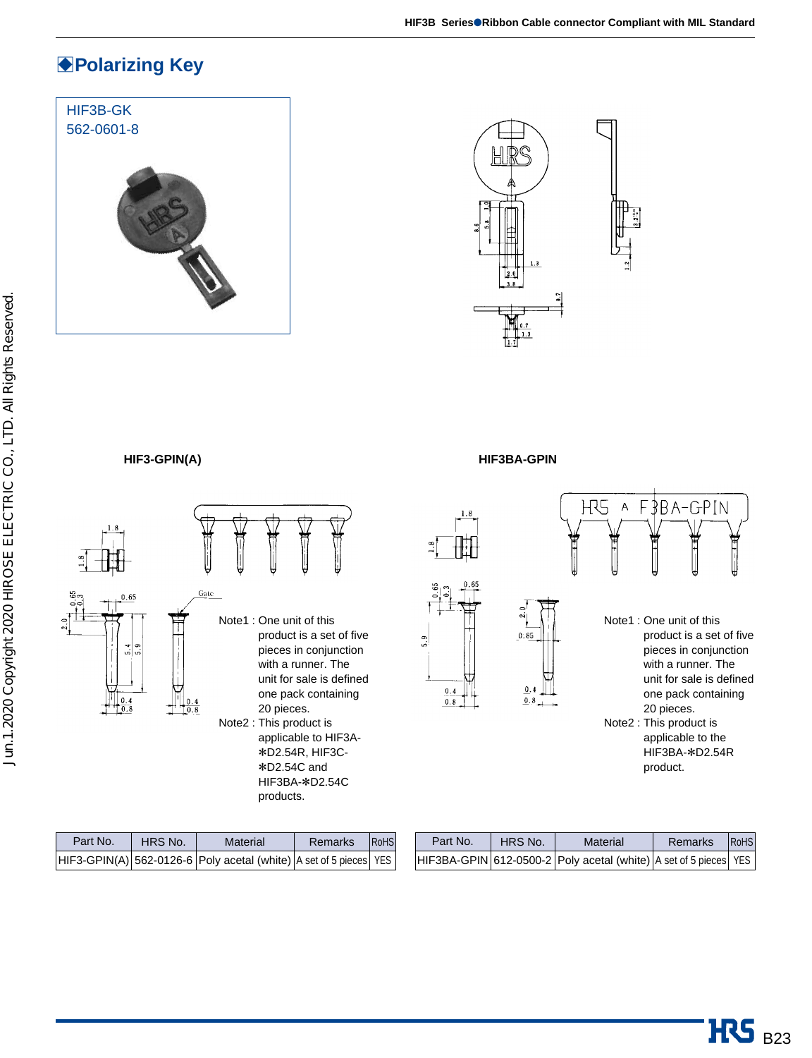# **Polarizing Key**

# HIF3B-GK 562-0601-8



### **HIF3-GPIN(A) HIF3BA-GPIN**





| Part No. | HRS No. | Material                                                              | Remarks | <b>RoHS</b> |
|----------|---------|-----------------------------------------------------------------------|---------|-------------|
|          |         | $ HIF3-GPIN(A) $ 562-0126-6 Poly acetal (white) A set of 5 pieces YES |         |             |

products.

| Part No. | HRS No. | Material                                                         | Remarks | <b>RoHS</b> |
|----------|---------|------------------------------------------------------------------|---------|-------------|
|          |         | HIF3BA-GPIN 612-0500-2 Poly acetal (white) A set of 5 pieces YES |         |             |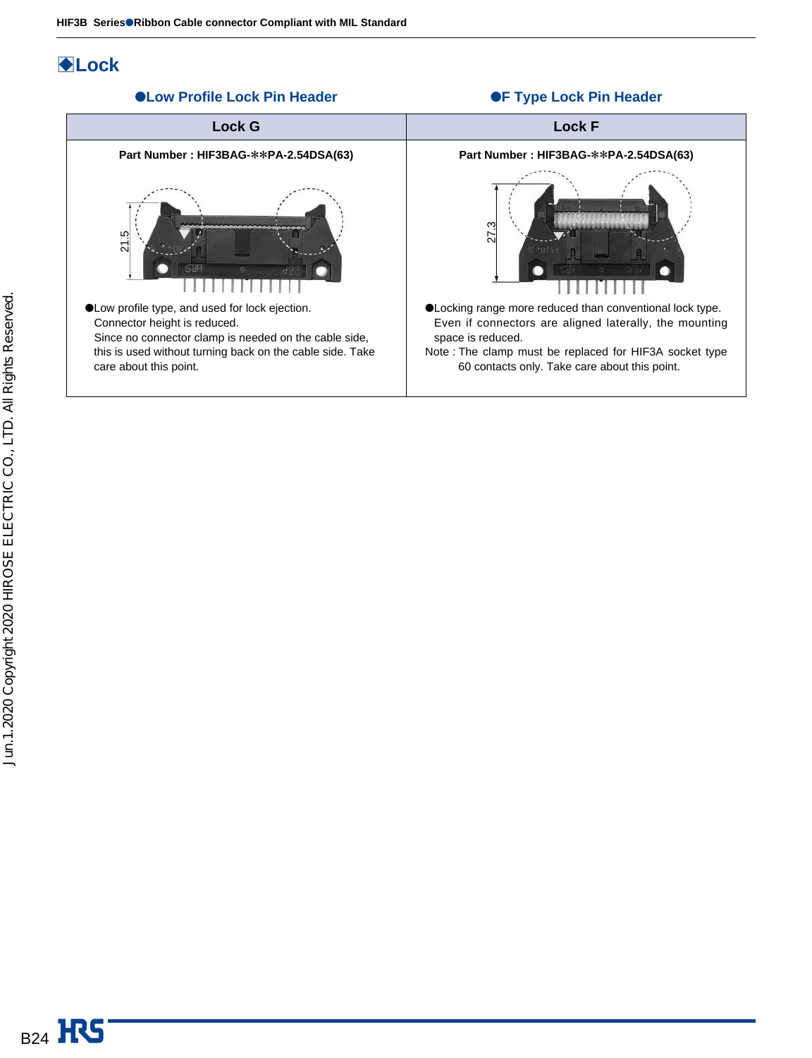●**Low Profile Lock Pin Header** 

# B**Lock**



### ●**F Type Lock Pin Header**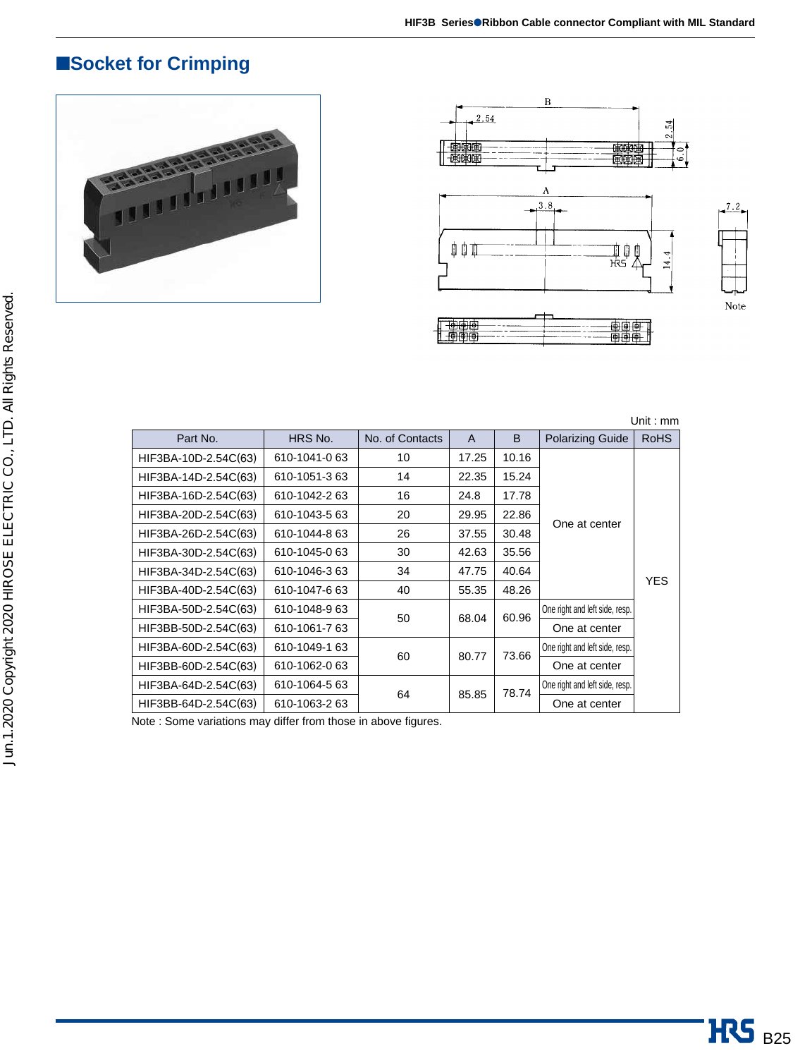# ■**Socket for Crimping**







Unit : mm

| Part No.             | HRS No.       | No. of Contacts | A     | B     | <b>Polarizing Guide</b>        | <b>RoHS</b> |
|----------------------|---------------|-----------------|-------|-------|--------------------------------|-------------|
| HIF3BA-10D-2.54C(63) | 610-1041-0 63 | 10              | 17.25 | 10.16 |                                |             |
| HIF3BA-14D-2.54C(63) | 610-1051-3 63 | 14              | 22.35 | 15.24 |                                |             |
| HIF3BA-16D-2.54C(63) | 610-1042-2 63 | 16              | 24.8  | 17.78 |                                |             |
| HIF3BA-20D-2.54C(63) | 610-1043-5 63 | 20              | 29.95 | 22.86 |                                |             |
| HIF3BA-26D-2.54C(63) | 610-1044-8 63 | 26              | 37.55 | 30.48 | One at center                  |             |
| HIF3BA-30D-2.54C(63) | 610-1045-0 63 | 30              | 42.63 | 35.56 |                                |             |
| HIF3BA-34D-2.54C(63) | 610-1046-3 63 | 34              | 47.75 | 40.64 |                                | <b>YES</b>  |
| HIF3BA-40D-2.54C(63) | 610-1047-6 63 | 40              | 55.35 | 48.26 |                                |             |
| HIF3BA-50D-2.54C(63) | 610-1048-963  |                 |       | 60.96 | One right and left side, resp. |             |
| HIF3BB-50D-2.54C(63) | 610-1061-763  | 50              | 68.04 |       | One at center                  |             |
| HIF3BA-60D-2.54C(63) | 610-1049-1 63 |                 |       | 73.66 | One right and left side, resp. |             |
| HIF3BB-60D-2.54C(63) | 610-1062-0 63 | 60              | 80.77 |       | One at center                  |             |
| HIF3BA-64D-2.54C(63) | 610-1064-5 63 |                 |       | 78.74 | One right and left side, resp. |             |
| HIF3BB-64D-2.54C(63) | 610-1063-2 63 | 64              | 85.85 |       | One at center                  |             |

Note : Some variations may differ from those in above figures.

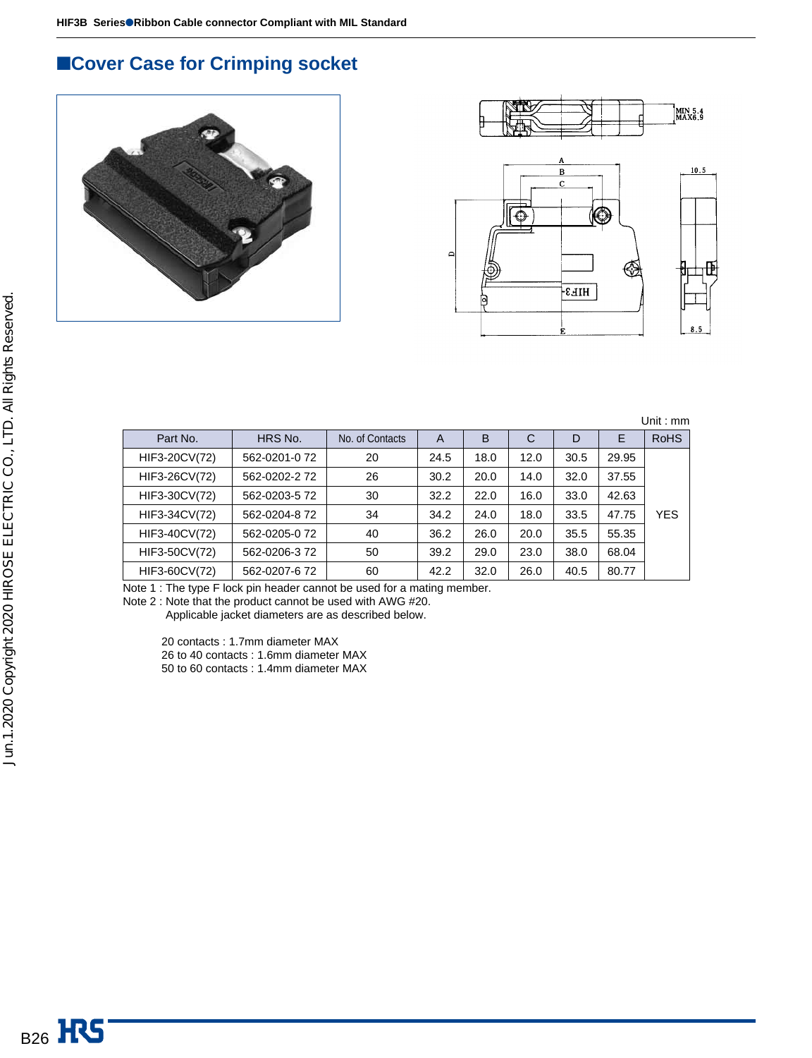# ■**Cover Case for Crimping socket**





Unit : mm

| Part No.      | HRS No.       | No. of Contacts | A    | B    | C    | D    | Ε     | <b>RoHS</b> |
|---------------|---------------|-----------------|------|------|------|------|-------|-------------|
| HIF3-20CV(72) | 562-0201-072  | 20              | 24.5 | 18.0 | 12.0 | 30.5 | 29.95 |             |
| HIF3-26CV(72) | 562-0202-272  | 26              | 30.2 | 20.0 | 14.0 | 32.0 | 37.55 |             |
| HIF3-30CV(72) | 562-0203-5 72 | 30              | 32.2 | 22.0 | 16.0 | 33.0 | 42.63 |             |
| HIF3-34CV(72) | 562-0204-872  | 34              | 34.2 | 24.0 | 18.0 | 33.5 | 47.75 | <b>YES</b>  |
| HIF3-40CV(72) | 562-0205-072  | 40              | 36.2 | 26.0 | 20.0 | 35.5 | 55.35 |             |
| HIF3-50CV(72) | 562-0206-372  | 50              | 39.2 | 29.0 | 23.0 | 38.0 | 68.04 |             |
| HIF3-60CV(72) | 562-0207-672  | 60              | 42.2 | 32.0 | 26.0 | 40.5 | 80.77 |             |

Note 1 : The type F lock pin header cannot be used for a mating member.

Note 2 : Note that the product cannot be used with AWG #20.

Applicable jacket diameters are as described below.

20 contacts : 1.7mm diameter MAX

26 to 40 contacts : 1.6mm diameter MAX

50 to 60 contacts : 1.4mm diameter MAX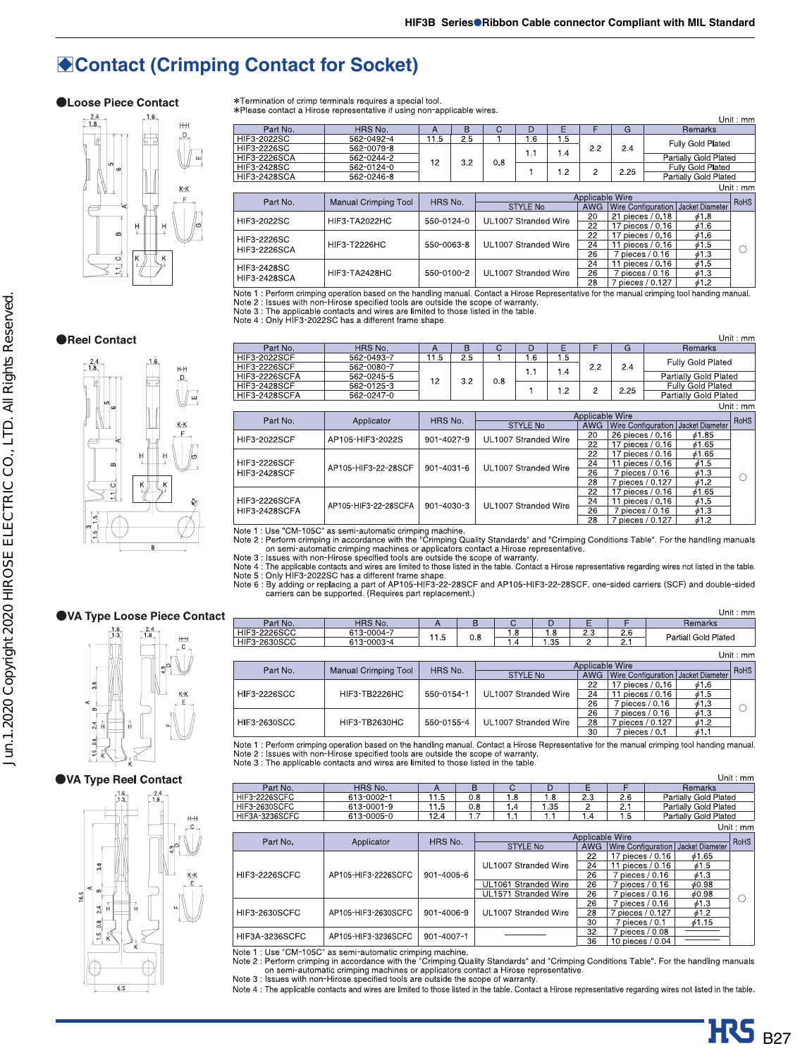# **Contact (Crimping Contact for Socket)**

 $\overline{H}$ 



\*Termination of crimp terminals requires a special tool.<br>\*Please contact a Hirose representative if using non-applicable wires.

Unit: mm Part No HRS No.  $\frac{A}{11.5}$ TE.  $G$ Remarks  $\overline{D}$ 562-0492-4<br>562-0079-8  $\frac{1}{2.5}$ 3-20225  $\overline{16}$  $\overline{15}$ Fully Gold Plated  $2.2$ **HIF**  $2.4$  $1.1$  $1.4$ Partially Gold Plated **HIF** 562-0244-2  $12$ 32  $0.8$ **HIF** 3-24285 562-0124-0<br>562-0246-8 Fully Gold Plated<br>Partially Gold Plated  $\mathbf{1}$  $1.2$  $\overline{c}$ 2.25 HIF3-2428 Unit:  $mm$ **Applicable Wire** Manual Crimping Tool HRS No. RoHS Part No.  $STYIFNo$ AWG Wire Configuration | Jacket Diameter 21 pieces / 0.18  $\frac{\phi 1.8}{\phi 1.6}$ 20 HIF3-2022SC HIE3-TA2022HC 550-0124-0 **UL1007 Stranded Wire** 17 pieces / 0.16  $616$ HIF3-2226SC **HIF3-T2226HC** UL1007 Stranded Wire 11 pieces / 0.16<br>7 pieces / 0.16 550-0063-8  $\frac{\cancel{0}1.5}{\cancel{0}1.3}$  $\overline{24}$  $\circ$ **HIF3-2226SCA**  $\overline{26}$  $\overline{24}$  $11$  pieces / 0.16  $\frac{1}{6}$ 1.5 HIF3-2428SC HIE3-TA2428HC 550-0100-2 UL1007 Stranded Wire  $\frac{26}{28}$ 7 pieces / 0.16<br>7 pieces / 0.127  $\frac{613}{612}$ **HIF3-2428SCA** 

Note 1 : Perform crimping operation based on the handling manual. Contact a Hirose Representative for the manual crimping tool handing manual.<br>Note 2 : Issues with non-Hirose specified tools are outside the scope of warran

### **OReel Contact**



|                      |                      |            |     |                      |                      |       |                  |                    |                          | Unit: $mm$  |                                      |  |
|----------------------|----------------------|------------|-----|----------------------|----------------------|-------|------------------|--------------------|--------------------------|-------------|--------------------------------------|--|
| Part No.             | HRS No.              | A          | B   | C                    | D                    | Е     | F                | G                  | <b>Remarks</b>           |             |                                      |  |
| <b>HIF3-2022SCF</b>  | 562-0493-7           | 11.5       | 2.5 |                      | 1.6                  | 1.5   |                  |                    | <b>Fully Gold Plated</b> |             |                                      |  |
| <b>HIF3-2226SCF</b>  | 562-0080-7           |            |     |                      | 1.1                  | 1.4   | 2.2              | 2.4                |                          |             |                                      |  |
| <b>HIF3-2226SCFA</b> | 562-0245-5           | 12         | 3.2 | 0.8                  |                      |       |                  |                    | Partially Gold Plated    |             |                                      |  |
| <b>HIF3-2428SCF</b>  | 562-0125-3           |            |     |                      |                      | 1.2   | 2                | 2.25               | <b>Fully Gold Plated</b> |             |                                      |  |
| <b>HIF3-2428SCFA</b> | 562-0247-0           |            |     |                      |                      |       |                  |                    | Partially Gold Plated    |             |                                      |  |
|                      |                      |            |     |                      |                      |       |                  |                    |                          | Unit: mm    |                                      |  |
| Part No.             | Applicator           |            |     |                      |                      |       | Applicable Wire  |                    |                          | <b>RoHS</b> |                                      |  |
|                      |                      | HRS No.    |     | <b>STYLE No</b>      |                      |       |                  |                    | AWG                      |             | Wire Configuration   Jacket Diameter |  |
| <b>HIF3-2022SCF</b>  | AP105-HIF3-2022S     | 901-4027-9 |     | UL1007 Stranded Wire |                      | 20    | 26 pieces / 0.16 | 61.85              |                          |             |                                      |  |
|                      |                      |            |     |                      |                      | 22    | 17 pieces / 0.16 | 61.65              |                          |             |                                      |  |
|                      |                      |            |     |                      |                      |       |                  | 17 pieces / 0.16   | 61.65                    |             |                                      |  |
| <b>HIF3-2226SCF</b>  | AP105-HIF3-22-28SCF  | 901-4031-6 |     | UL1007 Stranded Wire |                      |       | 24               | 11 pieces $/ 0.16$ | $\phi$ 1.5               |             |                                      |  |
| <b>HIF3-2428SCF</b>  |                      |            |     |                      |                      |       | 26<br>28         | 7 pieces / 0.16    | 61.3                     | C           |                                      |  |
|                      |                      |            |     |                      |                      |       |                  | 7 pieces / 0.127   | 61.2                     |             |                                      |  |
|                      |                      |            |     | 22                   | 17 pieces / 0.16     | 61.65 |                  |                    |                          |             |                                      |  |
| <b>HIF3-2226SCFA</b> | AP105-HIF3-22-28SCFA | 901-4030-3 |     |                      | UL1007 Stranded Wire |       | 24               | 11 pieces / 0.16   | $\phi$ 1.5               |             |                                      |  |
| <b>HIF3-2428SCFA</b> |                      |            |     |                      |                      |       | 26               | 7 pieces / 0.16    | 61.3                     |             |                                      |  |
|                      |                      |            |     |                      |                      |       | 28               | 7 pieces / 0.127   | 61.2                     |             |                                      |  |

Note 1: Use "CM-105C" as semi-automatic crimping machine.<br>Note 1: Use "CM-105C" as semi-automatic crimping machine.<br>Note 2: Perform crimping in accordance with the "Crimping Quality Standards" and "Crimping Conditions Tabl

### ●VA Type Loose Piece Contact



### ●VA Type Reel Contact



|                     |                             |            |     |                      |      |                 |                             |  |                                      | Unit: $mm$ |
|---------------------|-----------------------------|------------|-----|----------------------|------|-----------------|-----------------------------|--|--------------------------------------|------------|
| Part No.            | HRS No.                     | А          | B   | C                    | D    | F               |                             |  | Remarks                              |            |
| HIF3-2226SCC        | 613-0004-7                  |            |     | 1.8                  | l 8  | 23              | 2.6                         |  | Partiall Gold Plated                 |            |
| <b>HIF3-2630SCC</b> | 613-0003-4                  | 11.5       | 0.8 | .4                   | 1.35 | 2               | 2.1                         |  |                                      |            |
|                     | Unit: $mm$                  |            |     |                      |      |                 |                             |  |                                      |            |
| Part No.            | <b>Manual Crimping Tool</b> | HRS No.    |     |                      |      | Applicable Wire |                             |  |                                      | RoHS       |
|                     |                             |            |     | <b>STYLE No</b>      |      | <b>AWG</b>      |                             |  | Wire Configuration   Jacket Diameter |            |
|                     |                             |            |     |                      |      | 22              | 17 pieces / 0.16            |  | 61.6                                 |            |
| <b>HIF3-2226SCC</b> | <b>HIF3-TB2226HC</b>        | 550-0154-1 |     | UL1007 Stranded Wire |      | 24              | 11 pieces / 0.16            |  | $\phi$ 1.5                           |            |
|                     |                             |            |     |                      |      | 26              | oieces / 0.16               |  | $\phi$ 1.3                           | C          |
|                     |                             |            |     |                      |      | 26              | $\frac{7}{1}$ pieces / 0.16 |  | $\phi$ 1.3                           |            |
| HIF3-2630SCC        | HIF3-TB2630HC               | 550-0155-4 |     | UL1007 Stranded Wire |      | 28              | pieces / 0.127              |  | $\phi$ 1.2                           |            |
|                     |                             |            |     |                      |      | 30              | 7 pieces / 0.1              |  | 61.1                                 |            |

Note 1 : Perform crimping operation based on the handling manual. Contact a Hirose Representative for the manual crimping tool handing manual.<br>Note 2 : Issues with non-Hirose specified tools are outside the scope of warran

|                       |                     |            |                  |  |                 |                      |                 |                    |                                      | Unit: mm    |                      |    |                 |       |  |  |  |    |                 |            |  |
|-----------------------|---------------------|------------|------------------|--|-----------------|----------------------|-----------------|--------------------|--------------------------------------|-------------|----------------------|----|-----------------|-------|--|--|--|----|-----------------|------------|--|
| Part No.              | HRS No.             | A          | B                |  | С               | D                    | Ε               | F                  | <b>Remarks</b>                       |             |                      |    |                 |       |  |  |  |    |                 |            |  |
| <b>HIF3-2226SCFC</b>  | 613-0002-1          | 11.5       | 0.8              |  | 1.8             | 1.8                  | 2.3             | 2.6                | Partially Gold Plated                |             |                      |    |                 |       |  |  |  |    |                 |            |  |
| <b>HIF3-2630SCFC</b>  | 613-0001-9          | 11.5       | 0.8              |  | 1.4             | $\sqrt{35}$          | $\overline{c}$  | 2.1                | Partially Gold Plated                |             |                      |    |                 |       |  |  |  |    |                 |            |  |
| <b>HIF3A-3236SCFC</b> | 613-0005-0          | 12.4       | 1.7              |  | 1.1             | 1.1                  | 1.4             | 1.5                | Partially Gold Plated                |             |                      |    |                 |       |  |  |  |    |                 |            |  |
|                       |                     |            |                  |  |                 |                      |                 |                    |                                      | Unit: $mm$  |                      |    |                 |       |  |  |  |    |                 |            |  |
| Part No.              | Applicator          | HRS No.    |                  |  |                 |                      | Applicable Wire |                    |                                      | <b>RoHS</b> |                      |    |                 |       |  |  |  |    |                 |            |  |
|                       |                     |            |                  |  | <b>STYLE No</b> |                      | <b>AWG</b>      |                    | Wire Configuration   Jacket Diameter |             |                      |    |                 |       |  |  |  |    |                 |            |  |
|                       |                     |            |                  |  |                 |                      | 22              | 17 pieces / 0.16   | 61.65                                |             |                      |    |                 |       |  |  |  |    |                 |            |  |
|                       |                     |            |                  |  |                 | UL1007 Stranded Wire | 24              | 11 pieces / 0.16   | $\phi$ 1.5                           |             |                      |    |                 |       |  |  |  |    |                 |            |  |
| <b>HIF3-2226SCFC</b>  | AP105-HIF3-2226SCFC |            | $901 - 4005 - 6$ |  |                 |                      |                 |                    |                                      |             |                      |    |                 |       |  |  |  | 26 | 7 pieces / 0.16 | $\phi$ 1.3 |  |
|                       |                     |            |                  |  |                 |                      |                 |                    |                                      |             | UL1061 Stranded Wire | 26 | 7 pieces / 0.16 | 60.98 |  |  |  |    |                 |            |  |
|                       |                     |            |                  |  |                 | UL1571 Stranded Wire | 26              | 7 pieces / 0.16    | 60.98                                |             |                      |    |                 |       |  |  |  |    |                 |            |  |
|                       |                     |            |                  |  |                 |                      | 26              | 7 pieces / 0.16    | 61.3                                 |             |                      |    |                 |       |  |  |  |    |                 |            |  |
| <b>HIF3-2630SCFC</b>  | AP105-HIF3-2630SCFC | 901-4006-9 |                  |  |                 | UL1007 Stranded Wire | 28              | 7 pieces / 0.127   | 61.2                                 |             |                      |    |                 |       |  |  |  |    |                 |            |  |
|                       |                     |            |                  |  |                 |                      | 30              | $7$ pieces $/ 0.1$ | 61.15                                |             |                      |    |                 |       |  |  |  |    |                 |            |  |
| <b>HIF3A-3236SCFC</b> | AP105-HIF3-3236SCFC | 901-4007-1 |                  |  |                 |                      | 32              | 7 pieces / 0.08    |                                      |             |                      |    |                 |       |  |  |  |    |                 |            |  |
|                       |                     |            |                  |  |                 |                      | 36              | 10 pieces / 0.04   |                                      |             |                      |    |                 |       |  |  |  |    |                 |            |  |

Note 1 : Use "CM-105C" as semi-automatic crimping machine.<br>
Note 2 : Perform crimping conditions and the "Cimping Quality Standards" and "Crimping Conditions Table". For the handling manuals<br>
On semi-automatic crimping mac

Note 4 : The applicable contacts and wires are limited to those listed in the table. Contact a Hirose representative regarding wires not listed in the table.

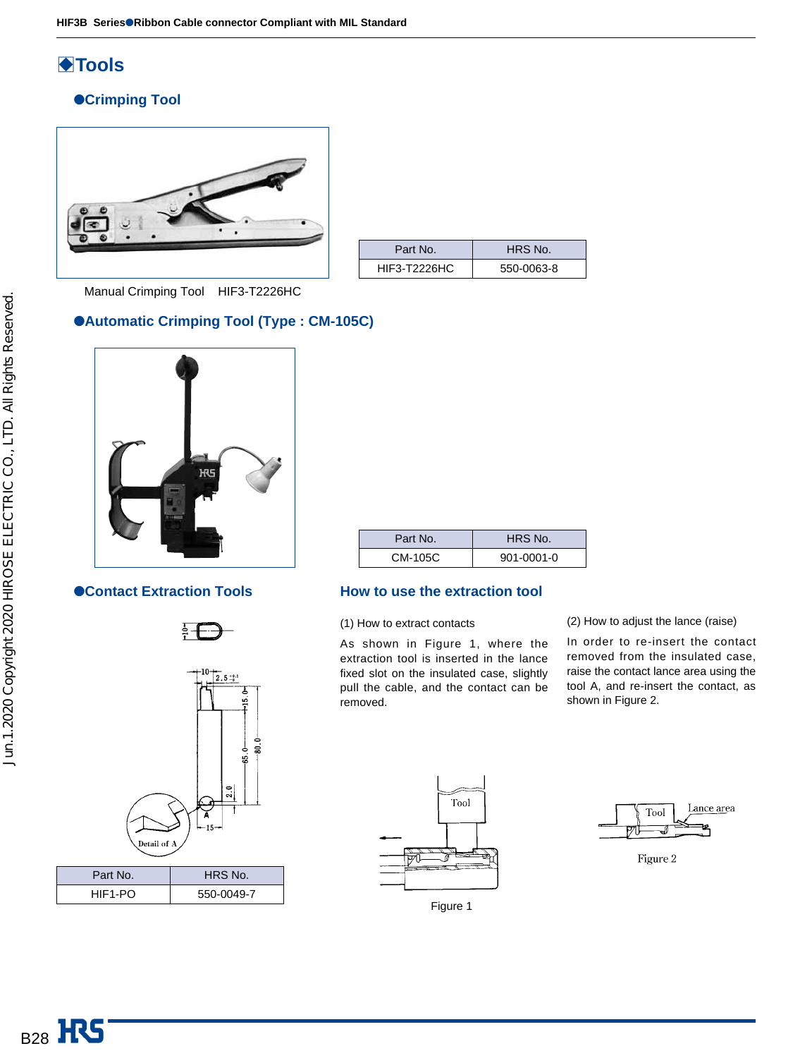# **◆Tools**

### ●**Crimping Tool**



| Part No.            | HRS No.    |
|---------------------|------------|
| <b>HIF3-T2226HC</b> | 550-0063-8 |

Manual Crimping Tool HIF3-T2226HC

### ●**Automatic Crimping Tool (Type : CM-105C)**







| Part No. | HRS No.          |
|----------|------------------|
| CM-105C  | $901 - 0001 - 0$ |

### ●**Contact Extraction Tools** How to use the extraction tool

(1) How to extract contacts

As shown in Figure 1, where the extraction tool is inserted in the lance fixed slot on the insulated case, slightly pull the cable, and the contact can be removed.

(2) How to adjust the lance (raise)

In order to re-insert the contact removed from the insulated case, raise the contact lance area using the tool A, and re-insert the contact, as shown in Figure 2.